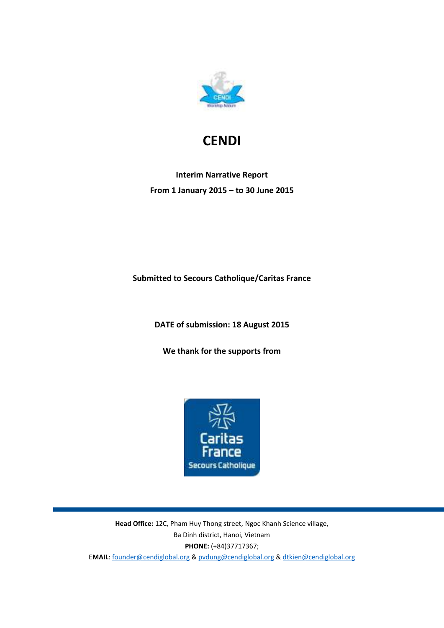

# **CENDI**

# **Interim Narrative Report From 1 January 2015 – to 30 June 2015**

**Submitted to Secours Catholique/Caritas France** 

**DATE of submission: 18 August 2015**

**We thank for the supports from**



**Head Office:** 12C, Pham Huy Thong street, Ngoc Khanh Science village, Ba Dinh district, Hanoi, Vietnam **PHONE:** (+84)37717367; E**MAIL**[: founder@cendiglobal.org](mailto:founder@cendiglobal.org) & [pvdung@cendiglobal.org](mailto:pvdung@cendiglobal.org) & [dtkien@cendiglobal.org](mailto:dtkien@cendiglobal.org)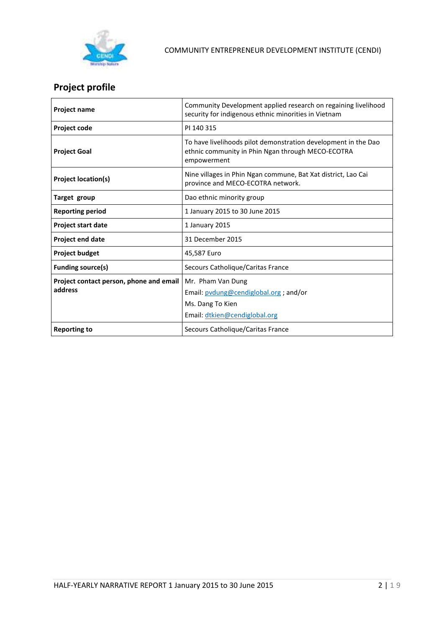

# **Project profile**

| <b>Project name</b>                     | Community Development applied research on regaining livelihood<br>security for indigenous ethnic minorities in Vietnam             |  |  |
|-----------------------------------------|------------------------------------------------------------------------------------------------------------------------------------|--|--|
| Project code                            | PI 140 315                                                                                                                         |  |  |
| <b>Project Goal</b>                     | To have livelihoods pilot demonstration development in the Dao<br>ethnic community in Phin Ngan through MECO-ECOTRA<br>empowerment |  |  |
| <b>Project location(s)</b>              | Nine villages in Phin Ngan commune, Bat Xat district, Lao Cai<br>province and MECO-ECOTRA network.                                 |  |  |
| Target group                            | Dao ethnic minority group                                                                                                          |  |  |
| <b>Reporting period</b>                 | 1 January 2015 to 30 June 2015                                                                                                     |  |  |
| Project start date                      | 1 January 2015                                                                                                                     |  |  |
| Project end date                        | 31 December 2015                                                                                                                   |  |  |
| <b>Project budget</b>                   | 45,587 Euro                                                                                                                        |  |  |
| <b>Funding source(s)</b>                | Secours Catholique/Caritas France                                                                                                  |  |  |
| Project contact person, phone and email | Mr. Pham Van Dung                                                                                                                  |  |  |
| address                                 | Email: pvdung@cendiglobal.org ; and/or                                                                                             |  |  |
|                                         | Ms. Dang To Kien                                                                                                                   |  |  |
|                                         | Email: dtkien@cendiglobal.org                                                                                                      |  |  |
| <b>Reporting to</b>                     | Secours Catholique/Caritas France                                                                                                  |  |  |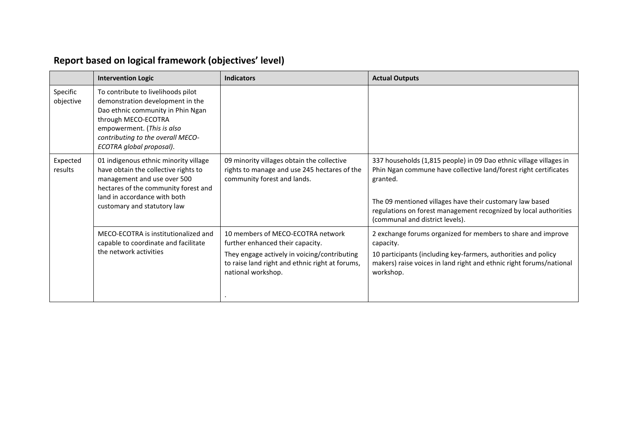|                       | <b>Intervention Logic</b>                                                                                                                                                                                                         | <b>Indicators</b>                                                                                                                                                                              | <b>Actual Outputs</b>                                                                                                                                                                                                                                                                                                 |
|-----------------------|-----------------------------------------------------------------------------------------------------------------------------------------------------------------------------------------------------------------------------------|------------------------------------------------------------------------------------------------------------------------------------------------------------------------------------------------|-----------------------------------------------------------------------------------------------------------------------------------------------------------------------------------------------------------------------------------------------------------------------------------------------------------------------|
| Specific<br>objective | To contribute to livelihoods pilot<br>demonstration development in the<br>Dao ethnic community in Phin Ngan<br>through MECO-ECOTRA<br>empowerment. (This is also<br>contributing to the overall MECO-<br>ECOTRA global proposal). |                                                                                                                                                                                                |                                                                                                                                                                                                                                                                                                                       |
| Expected<br>results   | 01 indigenous ethnic minority village<br>have obtain the collective rights to<br>management and use over 500<br>hectares of the community forest and<br>land in accordance with both<br>customary and statutory law               | 09 minority villages obtain the collective<br>rights to manage and use 245 hectares of the<br>community forest and lands.                                                                      | 337 households (1,815 people) in 09 Dao ethnic village villages in<br>Phin Ngan commune have collective land/forest right certificates<br>granted.<br>The 09 mentioned villages have their customary law based<br>regulations on forest management recognized by local authorities<br>(communal and district levels). |
|                       | MECO-ECOTRA is institutionalized and<br>capable to coordinate and facilitate<br>the network activities                                                                                                                            | 10 members of MECO-ECOTRA network<br>further enhanced their capacity.<br>They engage actively in voicing/contributing<br>to raise land right and ethnic right at forums,<br>national workshop. | 2 exchange forums organized for members to share and improve<br>capacity.<br>10 participants (including key-farmers, authorities and policy<br>makers) raise voices in land right and ethnic right forums/national<br>workshop.                                                                                       |

# **Report based on logical framework (objectives' level)**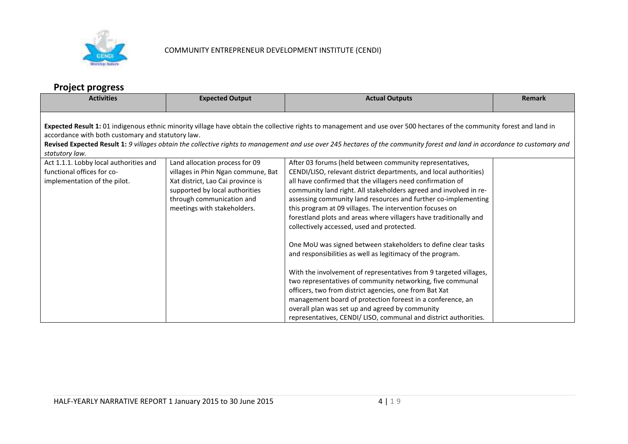

# **Project progress**

| <b>Activities</b>                                                                                                                                                                                                                                                                                                                                                                                                           | <b>Expected Output</b>                                               | <b>Actual Outputs</b>                                                                                                           | <b>Remark</b> |  |
|-----------------------------------------------------------------------------------------------------------------------------------------------------------------------------------------------------------------------------------------------------------------------------------------------------------------------------------------------------------------------------------------------------------------------------|----------------------------------------------------------------------|---------------------------------------------------------------------------------------------------------------------------------|---------------|--|
| Expected Result 1: 01 indigenous ethnic minority village have obtain the collective rights to management and use over 500 hectares of the community forest and land in<br>accordance with both customary and statutory law.<br>Revised Expected Result 1: 9 villages obtain the collective rights to management and use over 245 hectares of the community forest and land in accordance to customary and<br>statutory law. |                                                                      |                                                                                                                                 |               |  |
| Act 1.1.1. Lobby local authorities and<br>functional offices for co-                                                                                                                                                                                                                                                                                                                                                        | Land allocation process for 09<br>villages in Phin Ngan commune, Bat | After 03 forums (held between community representatives,<br>CENDI/LISO, relevant district departments, and local authorities)   |               |  |
| implementation of the pilot.                                                                                                                                                                                                                                                                                                                                                                                                | Xat district, Lao Cai province is<br>supported by local authorities  | all have confirmed that the villagers need confirmation of<br>community land right. All stakeholders agreed and involved in re- |               |  |
|                                                                                                                                                                                                                                                                                                                                                                                                                             | through communication and<br>meetings with stakeholders.             | assessing community land resources and further co-implementing<br>this program at 09 villages. The intervention focuses on      |               |  |
|                                                                                                                                                                                                                                                                                                                                                                                                                             |                                                                      | forestland plots and areas where villagers have traditionally and<br>collectively accessed, used and protected.                 |               |  |
|                                                                                                                                                                                                                                                                                                                                                                                                                             |                                                                      | One MoU was signed between stakeholders to define clear tasks<br>and responsibilities as well as legitimacy of the program.     |               |  |
|                                                                                                                                                                                                                                                                                                                                                                                                                             |                                                                      | With the involvement of representatives from 9 targeted villages,                                                               |               |  |
|                                                                                                                                                                                                                                                                                                                                                                                                                             |                                                                      | two representatives of community networking, five communal<br>officers, two from district agencies, one from Bat Xat            |               |  |
|                                                                                                                                                                                                                                                                                                                                                                                                                             |                                                                      | management board of protection foreest in a conference, an                                                                      |               |  |
|                                                                                                                                                                                                                                                                                                                                                                                                                             |                                                                      | overall plan was set up and agreed by community                                                                                 |               |  |
|                                                                                                                                                                                                                                                                                                                                                                                                                             |                                                                      | representatives, CENDI/ LISO, communal and district authorities.                                                                |               |  |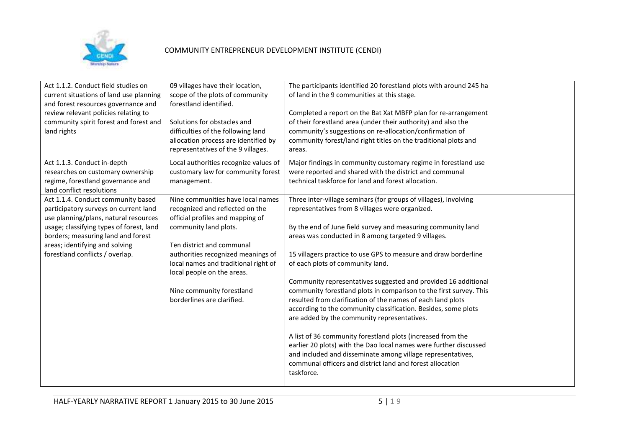

| Act 1.1.2. Conduct field studies on<br>current situations of land use planning<br>and forest resources governance and<br>review relevant policies relating to<br>community spirit forest and forest and<br>land rights                                                      | 09 villages have their location,<br>scope of the plots of community<br>forestland identified.<br>Solutions for obstacles and<br>difficulties of the following land<br>allocation process are identified by<br>representatives of the 9 villages.                                                                                      | The participants identified 20 forestland plots with around 245 ha<br>of land in the 9 communities at this stage.<br>Completed a report on the Bat Xat MBFP plan for re-arrangement<br>of their forestland area (under their authority) and also the<br>community's suggestions on re-allocation/confirmation of<br>community forest/land right titles on the traditional plots and<br>areas.                                                                                                                                                                                                                                                                                                                                                                                                                                                                                                                                                           |  |
|-----------------------------------------------------------------------------------------------------------------------------------------------------------------------------------------------------------------------------------------------------------------------------|---------------------------------------------------------------------------------------------------------------------------------------------------------------------------------------------------------------------------------------------------------------------------------------------------------------------------------------|---------------------------------------------------------------------------------------------------------------------------------------------------------------------------------------------------------------------------------------------------------------------------------------------------------------------------------------------------------------------------------------------------------------------------------------------------------------------------------------------------------------------------------------------------------------------------------------------------------------------------------------------------------------------------------------------------------------------------------------------------------------------------------------------------------------------------------------------------------------------------------------------------------------------------------------------------------|--|
| Act 1.1.3. Conduct in-depth<br>researches on customary ownership<br>regime, forestland governance and<br>land conflict resolutions                                                                                                                                          | Local authorities recognize values of<br>customary law for community forest<br>management.                                                                                                                                                                                                                                            | Major findings in community customary regime in forestland use<br>were reported and shared with the district and communal<br>technical taskforce for land and forest allocation.                                                                                                                                                                                                                                                                                                                                                                                                                                                                                                                                                                                                                                                                                                                                                                        |  |
| Act 1.1.4. Conduct community based<br>participatory surveys on current land<br>use planning/plans, natural resources<br>usage; classifying types of forest, land<br>borders; measuring land and forest<br>areas; identifying and solving<br>forestland conflicts / overlap. | Nine communities have local names<br>recognized and reflected on the<br>official profiles and mapping of<br>community land plots.<br>Ten district and communal<br>authorities recognized meanings of<br>local names and traditional right of<br>local people on the areas.<br>Nine community forestland<br>borderlines are clarified. | Three inter-village seminars (for groups of villages), involving<br>representatives from 8 villages were organized.<br>By the end of June field survey and measuring community land<br>areas was conducted in 8 among targeted 9 villages.<br>15 villagers practice to use GPS to measure and draw borderline<br>of each plots of community land.<br>Community representatives suggested and provided 16 additional<br>community forestland plots in comparison to the first survey. This<br>resulted from clarification of the names of each land plots<br>according to the community classification. Besides, some plots<br>are added by the community representatives.<br>A list of 36 community forestland plots (increased from the<br>earlier 20 plots) with the Dao local names were further discussed<br>and included and disseminate among village representatives,<br>communal officers and district land and forest allocation<br>taskforce. |  |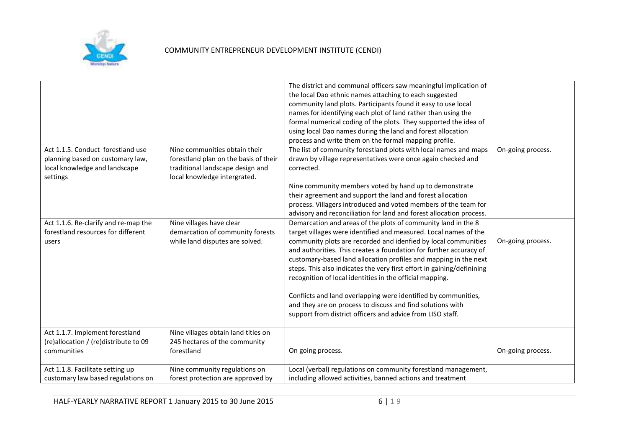

| Act 1.1.5. Conduct forestland use<br>planning based on customary law,<br>local knowledge and landscape<br>settings<br>Act 1.1.6. Re-clarify and re-map the<br>forestland resources for different<br>users | Nine communities obtain their<br>forestland plan on the basis of their<br>traditional landscape design and<br>local knowledge intergrated.<br>Nine villages have clear<br>demarcation of community forests<br>while land disputes are solved. | The district and communal officers saw meaningful implication of<br>the local Dao ethnic names attaching to each suggested<br>community land plots. Participants found it easy to use local<br>names for identifying each plot of land rather than using the<br>formal numerical coding of the plots. They supported the idea of<br>using local Dao names during the land and forest allocation<br>process and write them on the formal mapping profile.<br>The list of community forestland plots with local names and maps<br>drawn by village representatives were once again checked and<br>corrected.<br>Nine community members voted by hand up to demonstrate<br>their agreement and support the land and forest allocation<br>process. Villagers introduced and voted members of the team for<br>advisory and reconciliation for land and forest allocation process.<br>Demarcation and areas of the plots of community land in the 8<br>target villages were identified and measured. Local names of the<br>community plots are recorded and idenfied by local communities<br>and authorities. This creates a foundation for further accuracy of<br>customary-based land allocation profiles and mapping in the next<br>steps. This also indicates the very first effort in gaining/definining<br>recognition of local identities in the official mapping. | On-going process.<br>On-going process. |
|-----------------------------------------------------------------------------------------------------------------------------------------------------------------------------------------------------------|-----------------------------------------------------------------------------------------------------------------------------------------------------------------------------------------------------------------------------------------------|---------------------------------------------------------------------------------------------------------------------------------------------------------------------------------------------------------------------------------------------------------------------------------------------------------------------------------------------------------------------------------------------------------------------------------------------------------------------------------------------------------------------------------------------------------------------------------------------------------------------------------------------------------------------------------------------------------------------------------------------------------------------------------------------------------------------------------------------------------------------------------------------------------------------------------------------------------------------------------------------------------------------------------------------------------------------------------------------------------------------------------------------------------------------------------------------------------------------------------------------------------------------------------------------------------------------------------------------------------------------|----------------------------------------|
|                                                                                                                                                                                                           |                                                                                                                                                                                                                                               | Conflicts and land overlapping were identified by communities,<br>and they are on process to discuss and find solutions with<br>support from district officers and advice from LISO staff.                                                                                                                                                                                                                                                                                                                                                                                                                                                                                                                                                                                                                                                                                                                                                                                                                                                                                                                                                                                                                                                                                                                                                                          |                                        |
| Act 1.1.7. Implement forestland<br>(re)allocation / (re)distribute to 09<br>communities                                                                                                                   | Nine villages obtain land titles on<br>245 hectares of the community<br>forestland                                                                                                                                                            | On going process.                                                                                                                                                                                                                                                                                                                                                                                                                                                                                                                                                                                                                                                                                                                                                                                                                                                                                                                                                                                                                                                                                                                                                                                                                                                                                                                                                   | On-going process.                      |
| Act 1.1.8. Facilitate setting up<br>customary law based regulations on                                                                                                                                    | Nine community regulations on<br>forest protection are approved by                                                                                                                                                                            | Local (verbal) regulations on community forestland management,<br>including allowed activities, banned actions and treatment                                                                                                                                                                                                                                                                                                                                                                                                                                                                                                                                                                                                                                                                                                                                                                                                                                                                                                                                                                                                                                                                                                                                                                                                                                        |                                        |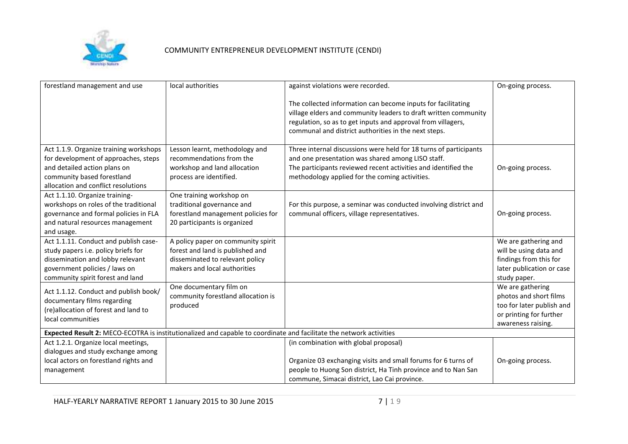

| forestland management and use                                                                                                                                                         | local authorities                                                                                                                         | against violations were recorded.                                                                                                                                                                                                                       | On-going process.                                                                                                        |  |
|---------------------------------------------------------------------------------------------------------------------------------------------------------------------------------------|-------------------------------------------------------------------------------------------------------------------------------------------|---------------------------------------------------------------------------------------------------------------------------------------------------------------------------------------------------------------------------------------------------------|--------------------------------------------------------------------------------------------------------------------------|--|
|                                                                                                                                                                                       |                                                                                                                                           | The collected information can become inputs for facilitating<br>village elders and community leaders to draft written community<br>regulation, so as to get inputs and approval from villagers,<br>communal and district authorities in the next steps. |                                                                                                                          |  |
| Act 1.1.9. Organize training workshops<br>for development of approaches, steps<br>and detailed action plans on<br>community based forestland<br>allocation and conflict resolutions   | Lesson learnt, methodology and<br>recommendations from the<br>workshop and land allocation<br>process are identified.                     | Three internal discussions were held for 18 turns of participants<br>and one presentation was shared among LISO staff.<br>The participants reviewed recent activities and identified the<br>methodology applied for the coming activities.              | On-going process.                                                                                                        |  |
| Act 1.1.10. Organize training-<br>workshops on roles of the traditional<br>governance and formal policies in FLA<br>and natural resources management<br>and usage.                    | One training workshop on<br>traditional governance and<br>forestland management policies for<br>20 participants is organized              | For this purpose, a seminar was conducted involving district and<br>communal officers, village representatives.                                                                                                                                         | On-going process.                                                                                                        |  |
| Act 1.1.11. Conduct and publish case-<br>study papers i.e. policy briefs for<br>dissemination and lobby relevant<br>government policies / laws on<br>community spirit forest and land | A policy paper on community spirit<br>forest and land is published and<br>disseminated to relevant policy<br>makers and local authorities |                                                                                                                                                                                                                                                         | We are gathering and<br>will be using data and<br>findings from this for<br>later publication or case<br>study paper.    |  |
| Act 1.1.12. Conduct and publish book/<br>documentary films regarding<br>(re)allocation of forest and land to<br>local communities                                                     | One documentary film on<br>community forestland allocation is<br>produced                                                                 |                                                                                                                                                                                                                                                         | We are gathering<br>photos and short films<br>too for later publish and<br>or printing for further<br>awareness raising. |  |
| Expected Result 2: MECO-ECOTRA is institutionalized and capable to coordinate and facilitate the network activities                                                                   |                                                                                                                                           |                                                                                                                                                                                                                                                         |                                                                                                                          |  |
| Act 1.2.1. Organize local meetings,<br>dialogues and study exchange among<br>local actors on forestland rights and                                                                    |                                                                                                                                           | (in combination with global proposal)<br>Organize 03 exchanging visits and small forums for 6 turns of                                                                                                                                                  | On-going process.                                                                                                        |  |
| management                                                                                                                                                                            |                                                                                                                                           | people to Huong Son district, Ha Tinh province and to Nan San<br>commune, Simacai district, Lao Cai province.                                                                                                                                           |                                                                                                                          |  |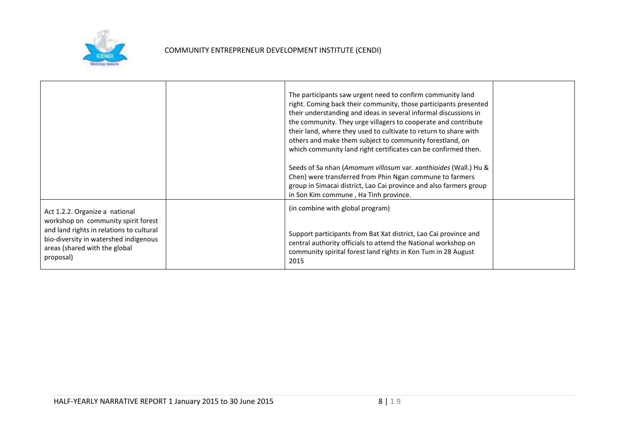

|                                                                                                                                                                                                          | The participants saw urgent need to confirm community land<br>right. Coming back their community, those participants presented<br>their understanding and ideas in several informal discussions in<br>the community. They urge villagers to cooperate and contribute<br>their land, where they used to cultivate to return to share with<br>others and make them subject to community forestland, on<br>which community land right certificates can be confirmed then.<br>Seeds of Sa nhan (Amomum villosum var. xanthioides (Wall.) Hu &<br>Chen) were transferred from Phin Ngan commune to farmers<br>group in Simacai district, Lao Cai province and also farmers group<br>in Son Kim commune, Ha Tinh province. |  |
|----------------------------------------------------------------------------------------------------------------------------------------------------------------------------------------------------------|----------------------------------------------------------------------------------------------------------------------------------------------------------------------------------------------------------------------------------------------------------------------------------------------------------------------------------------------------------------------------------------------------------------------------------------------------------------------------------------------------------------------------------------------------------------------------------------------------------------------------------------------------------------------------------------------------------------------|--|
| Act 1.2.2. Organize a national<br>workshop on community spirit forest<br>and land rights in relations to cultural<br>bio-diversity in watershed indigenous<br>areas (shared with the global<br>proposal) | (in combine with global program)<br>Support participants from Bat Xat district, Lao Cai province and<br>central authority officials to attend the National workshop on<br>community spirital forest land rights in Kon Tum in 28 August<br>2015                                                                                                                                                                                                                                                                                                                                                                                                                                                                      |  |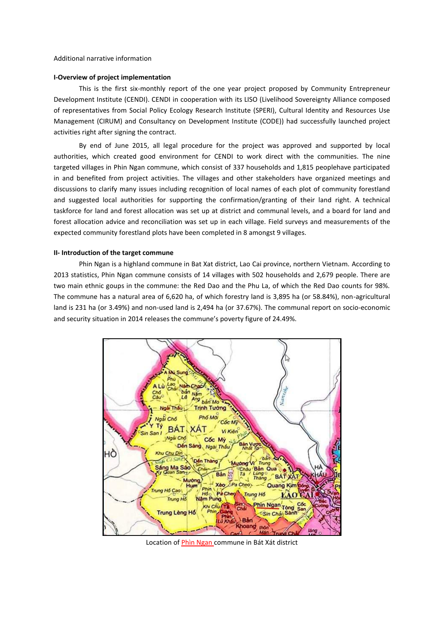#### **I-Overview of project implementation**

This is the first six-monthly report of the one year project proposed by Community Entrepreneur Development Institute (CENDI). CENDI in cooperation with its LISO (Livelihood Sovereignty Alliance composed of representatives from Social Policy Ecology Research Institute (SPERI), Cultural Identity and Resources Use Management (CIRUM) and Consultancy on Development Institute (CODE)) had successfully launched project activities right after signing the contract.

By end of June 2015, all legal procedure for the project was approved and supported by local authorities, which created good environment for CENDI to work direct with the communities. The nine targeted villages in Phin Ngan commune, which consist of 337 households and 1,815 peoplehave participated in and benefited from project activities. The villages and other stakeholders have organized meetings and discussions to clarify many issues including recognition of local names of each plot of community forestland and suggested local authorities for supporting the confirmation/granting of their land right. A technical taskforce for land and forest allocation was set up at district and communal levels, and a board for land and forest allocation advice and reconciliation was set up in each village. Field surveys and measurements of the expected community forestland plots have been completed in 8 amongst 9 villages.

#### **II- Introduction of the target commune**

Phin Ngan is a highland commune in Bat Xat district, Lao Cai province, northern Vietnam. According to 2013 statistics, Phin Ngan commune consists of 14 villages with 502 households and 2,679 people. There are two main ethnic goups in the commune: the Red Dao and the Phu La, of which the Red Dao counts for 98%. The commune has a natural area of 6,620 ha, of which forestry land is 3,895 ha (or 58.84%), non-agricultural land is 231 ha (or 3.49%) and non-used land is 2,494 ha (or 37.67%). The communal report on socio-economic and security situation in 2014 releases the commune's poverty figure of 24.49%.



Location of Phìn Ngan commune in Bát Xát district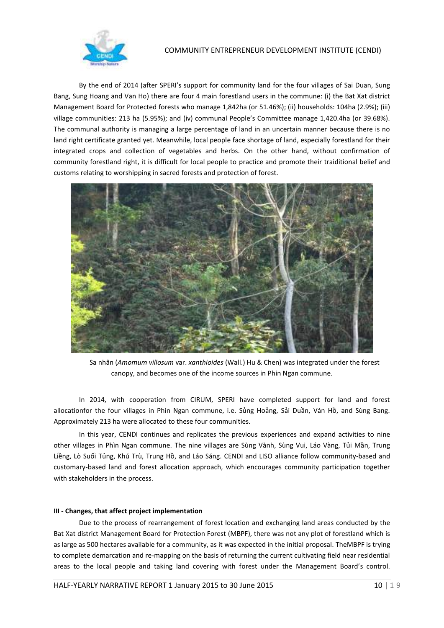

By the end of 2014 (after SPERI's support for community land for the four villages of Sai Duan, Sung Bang, Sung Hoang and Van Ho) there are four 4 main forestland users in the commune: (i) the Bat Xat district Management Board for Protected forests who manage 1,842ha (or 51.46%); (ii) households: 104ha (2.9%); (iii) village communities: 213 ha (5.95%); and (iv) communal People's Committee manage 1,420.4ha (or 39.68%). The communal authority is managing a large percentage of land in an uncertain manner because there is no land right certificate granted yet. Meanwhile, local people face shortage of land, especially forestland for their integrated crops and collection of vegetables and herbs. On the other hand, without confirmation of community forestland right, it is difficult for local people to practice and promote their traiditional belief and customs relating to worshipping in sacred forests and protection of forest.



Sa nhân (*Amomum villosum* var. *xanthioides* (Wall.) Hu & Chen) was integrated under the forest canopy, and becomes one of the income sources in Phin Ngan commune.

In 2014, with cooperation from CIRUM, SPERI have completed support for land and forest allocationfor the four villages in Phin Ngan commune, i.e. Sủng Hoảng, Sải Duần, Ván Hồ, and Sùng Bang. Approximately 213 ha were allocated to these four communities.

In this year, CENDI continues and replicates the previous experiences and expand activities to nine other villages in Phìn Ngan commune. The nine villages are Sùng Vành, Sùng Vui, Láo Vàng, Tủi Mần, Trung Liềng, Lò Suối Tủng, Khú Trù, Trung Hồ, and Láo Sáng. CENDI and LISO alliance follow community-based and customary-based land and forest allocation approach, which encourages community participation together with stakeholders in the process.

### **III - Changes, that affect project implementation**

Due to the process of rearrangement of forest location and exchanging land areas conducted by the Bat Xat district Management Board for Protection Forest (MBPF), there was not any plot of forestland which is as large as 500 hectares available for a community, as it was expected in the initial proposal. TheMBPF is trying to complete demarcation and re-mapping on the basis of returning the current cultivating field near residential areas to the local people and taking land covering with forest under the Management Board's control.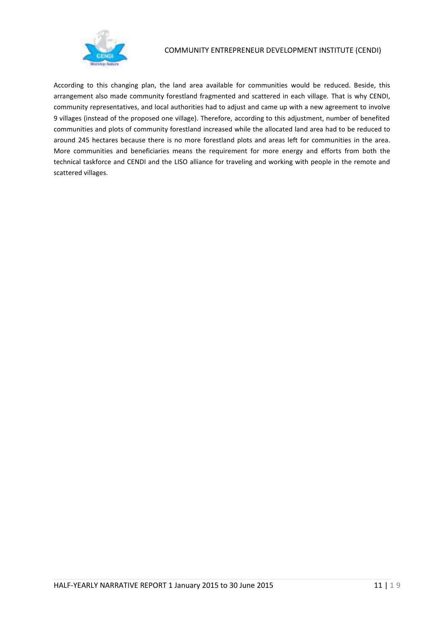

According to this changing plan, the land area available for communities would be reduced. Beside, this arrangement also made community forestland fragmented and scattered in each village. That is why CENDI, community representatives, and local authorities had to adjust and came up with a new agreement to involve 9 villages (instead of the proposed one village). Therefore, according to this adjustment, number of benefited communities and plots of community forestland increased while the allocated land area had to be reduced to around 245 hectares because there is no more forestland plots and areas left for communities in the area. More communities and beneficiaries means the requirement for more energy and efforts from both the technical taskforce and CENDI and the LISO alliance for traveling and working with people in the remote and scattered villages.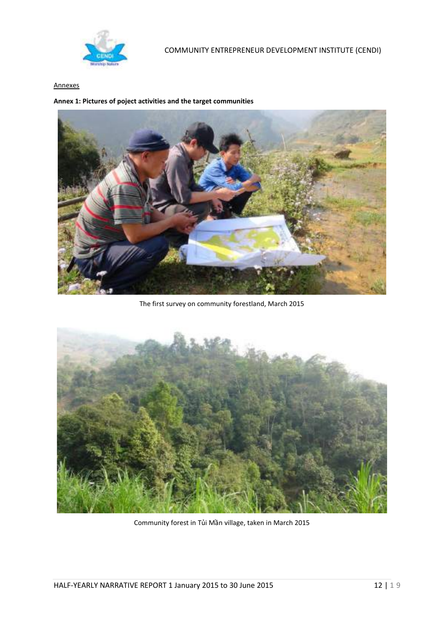

## Annexes

**Annex 1: Pictures of poject activities and the target communities**



The first survey on community forestland, March 2015



Community forest in Tủi Mần village, taken in March 2015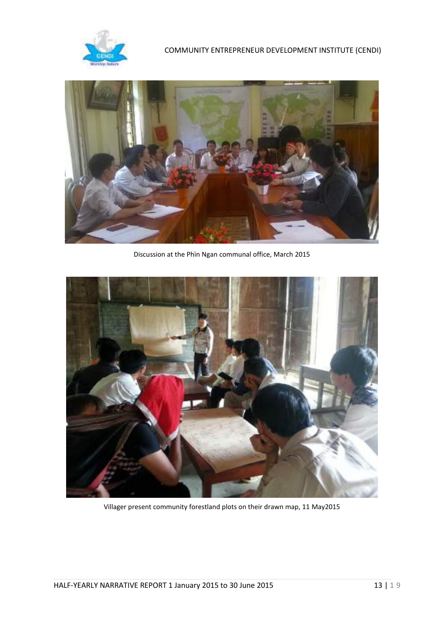



Discussion at the Phìn Ngan communal office, March 2015



Villager present community forestland plots on their drawn map, 11 May2015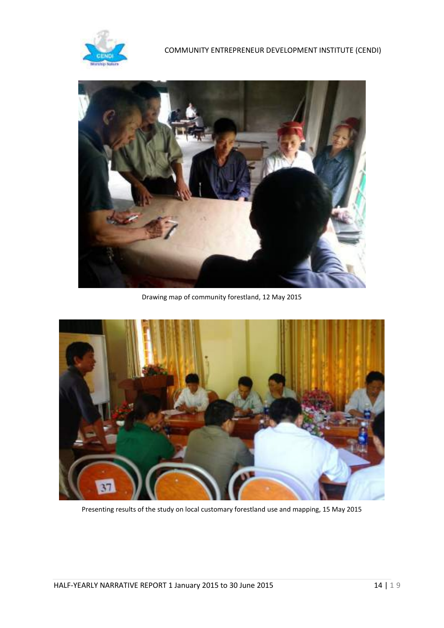



Drawing map of community forestland, 12 May 2015



Presenting results of the study on local customary forestland use and mapping, 15 May 2015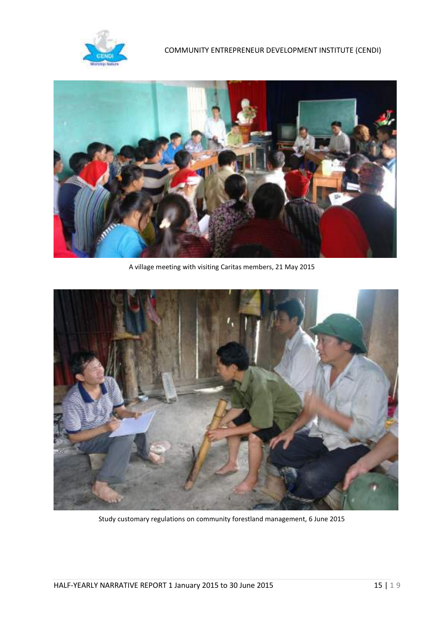



A village meeting with visiting Caritas members, 21 May 2015



Study customary regulations on community forestland management, 6 June 2015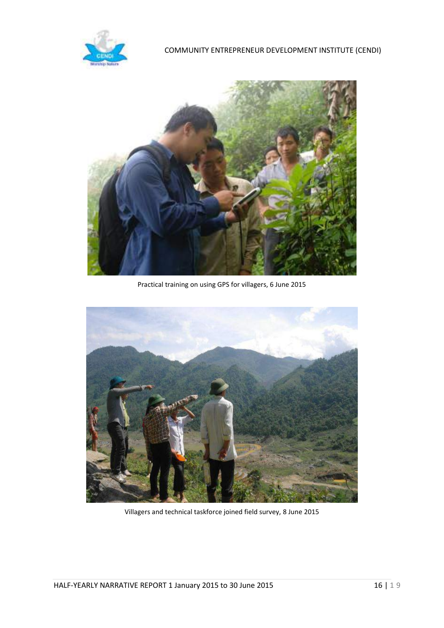



Practical training on using GPS for villagers, 6 June 2015



Villagers and technical taskforce joined field survey, 8 June 2015